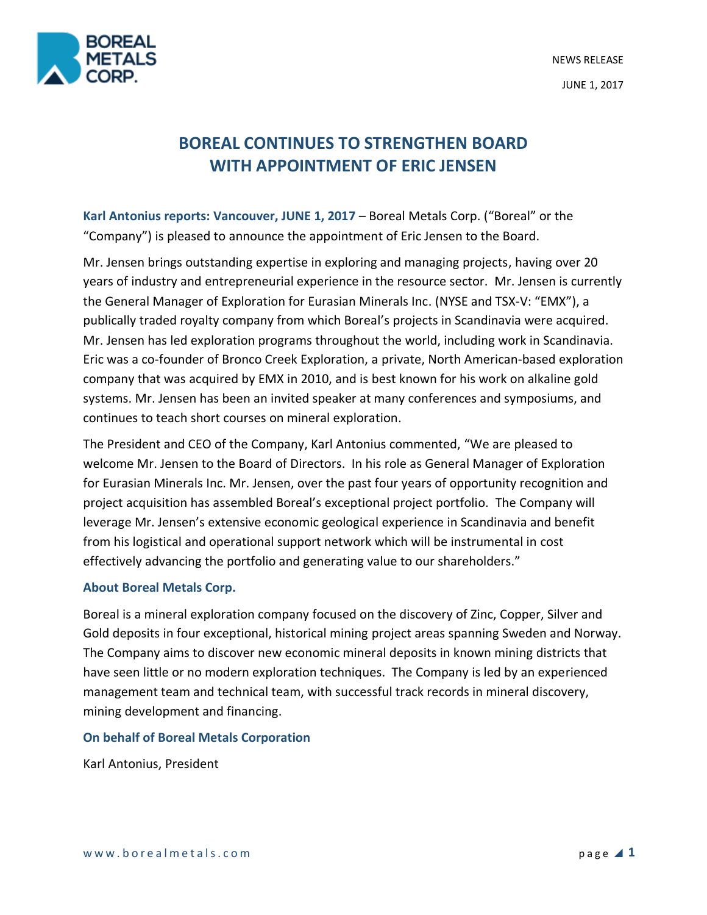



# **BOREAL CONTINUES TO STRENGTHEN BOARD WITH APPOINTMENT OF ERIC JENSEN**

**Karl Antonius reports: Vancouver, JUNE 1, 2017** – Boreal Metals Corp. ("Boreal" or the "Company") is pleased to announce the appointment of Eric Jensen to the Board.

Mr. Jensen brings outstanding expertise in exploring and managing projects, having over 20 years of industry and entrepreneurial experience in the resource sector. Mr. Jensen is currently the General Manager of Exploration for Eurasian Minerals Inc. (NYSE and TSX-V: "EMX"), a publically traded royalty company from which Boreal's projects in Scandinavia were acquired. Mr. Jensen has led exploration programs throughout the world, including work in Scandinavia. Eric was a co-founder of Bronco Creek Exploration, a private, North American-based exploration company that was acquired by EMX in 2010, and is best known for his work on alkaline gold systems. Mr. Jensen has been an invited speaker at many conferences and symposiums, and continues to teach short courses on mineral exploration.

The President and CEO of the Company, Karl Antonius commented, "We are pleased to welcome Mr. Jensen to the Board of Directors. In his role as General Manager of Exploration for Eurasian Minerals Inc. Mr. Jensen, over the past four years of opportunity recognition and project acquisition has assembled Boreal's exceptional project portfolio. The Company will leverage Mr. Jensen's extensive economic geological experience in Scandinavia and benefit from his logistical and operational support network which will be instrumental in cost effectively advancing the portfolio and generating value to our shareholders."

## **About Boreal Metals Corp.**

Boreal is a mineral exploration company focused on the discovery of Zinc, Copper, Silver and Gold deposits in four exceptional, historical mining project areas spanning Sweden and Norway. The Company aims to discover new economic mineral deposits in known mining districts that have seen little or no modern exploration techniques. The Company is led by an experienced management team and technical team, with successful track records in mineral discovery, mining development and financing.

## **On behalf of Boreal Metals Corporation**

Karl Antonius, President